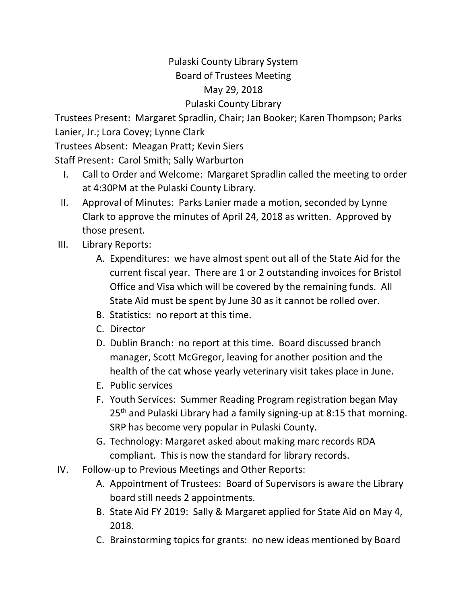## Pulaski County Library System Board of Trustees Meeting May 29, 2018 Pulaski County Library

Trustees Present: Margaret Spradlin, Chair; Jan Booker; Karen Thompson; Parks Lanier, Jr.; Lora Covey; Lynne Clark

Trustees Absent: Meagan Pratt; Kevin Siers

Staff Present: Carol Smith; Sally Warburton

- I. Call to Order and Welcome: Margaret Spradlin called the meeting to order at 4:30PM at the Pulaski County Library.
- II. Approval of Minutes: Parks Lanier made a motion, seconded by Lynne Clark to approve the minutes of April 24, 2018 as written. Approved by those present.
- III. Library Reports:
	- A. Expenditures: we have almost spent out all of the State Aid for the current fiscal year. There are 1 or 2 outstanding invoices for Bristol Office and Visa which will be covered by the remaining funds. All State Aid must be spent by June 30 as it cannot be rolled over.
	- B. Statistics: no report at this time.
	- C. Director
	- D. Dublin Branch: no report at this time. Board discussed branch manager, Scott McGregor, leaving for another position and the health of the cat whose yearly veterinary visit takes place in June.
	- E. Public services
	- F. Youth Services: Summer Reading Program registration began May 25<sup>th</sup> and Pulaski Library had a family signing-up at 8:15 that morning. SRP has become very popular in Pulaski County.
	- G. Technology: Margaret asked about making marc records RDA compliant. This is now the standard for library records.
- IV. Follow-up to Previous Meetings and Other Reports:
	- A. Appointment of Trustees: Board of Supervisors is aware the Library board still needs 2 appointments.
	- B. State Aid FY 2019: Sally & Margaret applied for State Aid on May 4, 2018.
	- C. Brainstorming topics for grants: no new ideas mentioned by Board